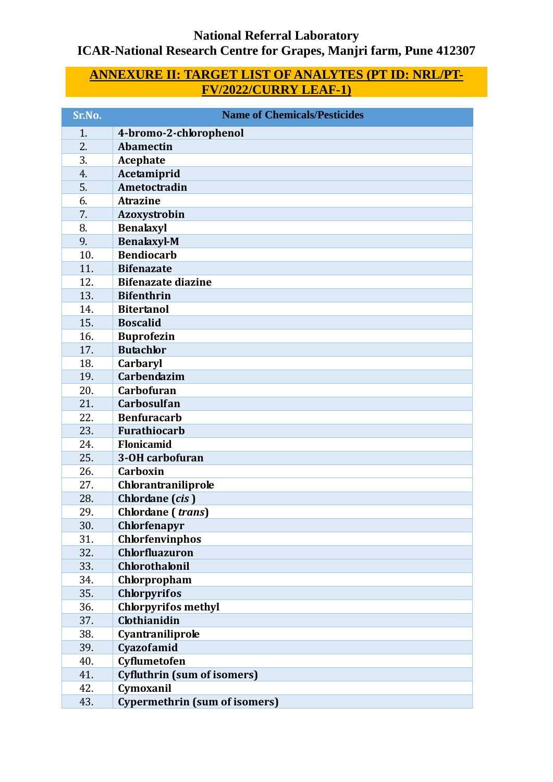## **National Referral Laboratory ICAR-National Research Centre for Grapes, Manjri farm, Pune 412307**

## **ANNEXURE II: TARGET LIST OF ANALYTES (PT ID: NRL/PT-FV/2022/CURRY LEAF-1)**

| Sr.No. | <b>Name of Chemicals/Pesticides</b>  |
|--------|--------------------------------------|
| 1.     | 4-bromo-2-chlorophenol               |
| 2.     | <b>Abamectin</b>                     |
| 3.     | <b>Acephate</b>                      |
| 4.     | Acetamiprid                          |
| 5.     | Ametoctradin                         |
| 6.     | <b>Atrazine</b>                      |
| 7.     | Azoxystrobin                         |
| 8.     | <b>Benalaxyl</b>                     |
| 9.     | <b>Benalaxyl-M</b>                   |
| 10.    | <b>Bendiocarb</b>                    |
| 11.    | <b>Bifenazate</b>                    |
| 12.    | <b>Bifenazate diazine</b>            |
| 13.    | <b>Bifenthrin</b>                    |
| 14.    | <b>Bitertanol</b>                    |
| 15.    | <b>Boscalid</b>                      |
| 16.    | <b>Buprofezin</b>                    |
| 17.    | <b>Butachlor</b>                     |
| 18.    | Carbaryl                             |
| 19.    | Carbendazim                          |
| 20.    | Carbofuran                           |
| 21.    | <b>Carbosulfan</b>                   |
| 22.    | <b>Benfuracarb</b>                   |
| 23.    | <b>Furathiocarb</b>                  |
| 24.    | Flonicamid                           |
| 25.    | 3-OH carbofuran                      |
| 26.    | Carboxin                             |
| 27.    | Chlorantraniliprole                  |
| 28.    | Chlordane (cis)                      |
| 29.    | Chlordane (trans)                    |
| 30.    | Chlorfenapyr                         |
| 31.    | Chlorfenvinphos                      |
| 32.    | <b>Chlorfluazuron</b>                |
| 33.    | <b>Chlorothalonil</b>                |
| 34.    | Chlorpropham                         |
| 35.    | <b>Chlorpyrifos</b>                  |
| 36.    | <b>Chlorpyrifos methyl</b>           |
| 37.    | Clothianidin                         |
| 38.    | Cyantraniliprole                     |
| 39.    | Cyazofamid                           |
| 40.    | Cyflumetofen                         |
| 41.    | <b>Cyfluthrin (sum of isomers)</b>   |
| 42.    | Cymoxanil                            |
| 43.    | <b>Cypermethrin (sum of isomers)</b> |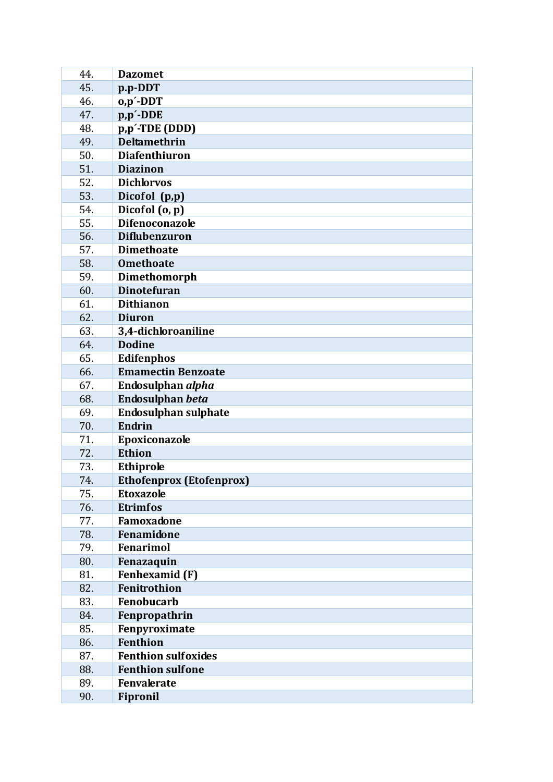| 44.        | <b>Dazomet</b>                      |
|------------|-------------------------------------|
| 45.        | p.p-DDT                             |
| 46.        | $o, p'$ -DDT                        |
| 47.        | p,p'-DDE                            |
| 48.        | p,p'-TDE (DDD)                      |
| 49.        | <b>Deltamethrin</b>                 |
| 50.        | <b>Diafenthiuron</b>                |
| 51.        | <b>Diazinon</b>                     |
| 52.        | <b>Dichlorvos</b>                   |
| 53.        | Dicofol (p,p)                       |
| 54.        | Dicofol (o, p)                      |
| 55.        | <b>Difenoconazole</b>               |
| 56.        | <b>Diflubenzuron</b>                |
| 57.        | <b>Dimethoate</b>                   |
| 58.        | <b>Omethoate</b>                    |
| 59.        | Dimethomorph                        |
| 60.        | <b>Dinotefuran</b>                  |
| 61.        | <b>Dithianon</b>                    |
| 62.        | <b>Diuron</b>                       |
| 63.        | 3,4-dichloroaniline                 |
| 64.        | <b>Dodine</b>                       |
| 65.        | <b>Edifenphos</b>                   |
| 66.        | <b>Emamectin Benzoate</b>           |
| 67.        | Endosulphan alpha                   |
| 68.        | Endosulphan beta                    |
| 69.        | <b>Endosulphan sulphate</b>         |
| 70.        | <b>Endrin</b>                       |
| 71.        | Epoxiconazole                       |
| 72.        | Ethion                              |
| 73.        | Ethiprole                           |
| 74.        | <b>Ethofenprox (Etofenprox)</b>     |
| 75.        | <b>Etoxazole</b>                    |
| 76.        | <b>Etrimfos</b>                     |
| 77.        | Famoxadone<br>Fenamidone            |
| 78.        | <b>Fenarimol</b>                    |
| 79.<br>80. |                                     |
| 81.        | Fenazaquin<br><b>Fenhexamid (F)</b> |
| 82.        | Fenitrothion                        |
| 83.        | <b>Fenobucarb</b>                   |
| 84.        | Fenpropathrin                       |
| 85.        | Fenpyroximate                       |
| 86.        | <b>Fenthion</b>                     |
| 87.        | <b>Fenthion sulfoxides</b>          |
| 88.        | <b>Fenthion sulfone</b>             |
| 89.        | <b>Fenvalerate</b>                  |
| 90.        | <b>Fipronil</b>                     |
|            |                                     |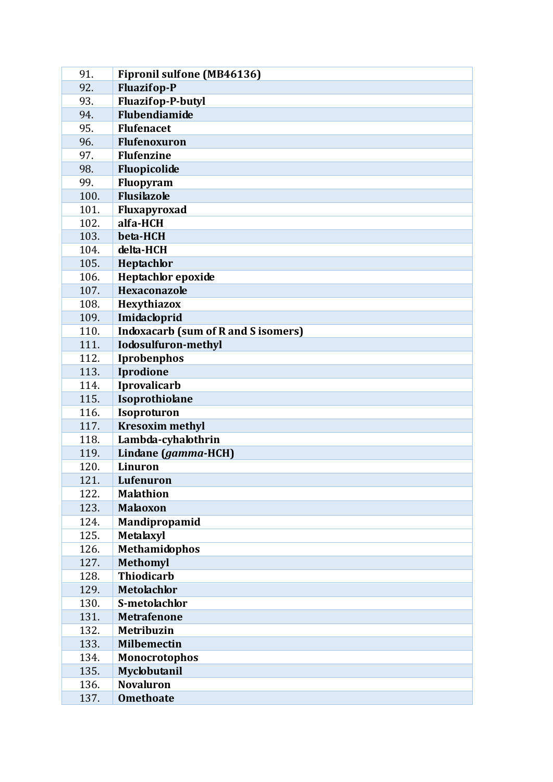| 91.          | <b>Fipronil sulfone (MB46136)</b>          |
|--------------|--------------------------------------------|
| 92.          | <b>Fluazifop-P</b>                         |
| 93.          | <b>Fluazifop-P-butyl</b>                   |
| 94.          | <b>Flubendiamide</b>                       |
| 95.          | <b>Flufenacet</b>                          |
| 96.          | <b>Flufenoxuron</b>                        |
| 97.          | <b>Flufenzine</b>                          |
| 98.          | Fluopicolide                               |
| 99.          | Fluopyram                                  |
| 100.         | <b>Flusilazole</b>                         |
| 101.         | Fluxapyroxad                               |
| 102.         | alfa-HCH                                   |
| 103.         | beta-HCH                                   |
| 104.         | delta-HCH                                  |
| 105.         | Heptachlor                                 |
| 106.         | Heptachlor epoxide                         |
| 107.         | Hexaconazole                               |
| 108.         | Hexythiazox                                |
| 109.         | Imidacloprid                               |
| 110.         | <b>Indoxacarb (sum of R and S isomers)</b> |
| 111.         | <b>Iodosulfuron-methyl</b>                 |
| 112.         | Iprobenphos                                |
| 113.         | Iprodione                                  |
| 114.         | <b>Iprovalicarb</b>                        |
| 115.         | Isoprothiolane                             |
| 116.         | Isoproturon                                |
| 117.         | <b>Kresoxim methyl</b>                     |
| 118.         | Lambda-cyhalothrin                         |
| 119.         | Lindane (gamma-HCH)                        |
| 120.         | Linuron                                    |
| 121.         | Lufenuron                                  |
| 122.         | <b>Malathion</b>                           |
| 123.         | <b>Malaoxon</b>                            |
| 124.         | Mandipropamid                              |
| 125.         | <b>Metalaxyl</b>                           |
| 126.         | Methamidophos                              |
| 127.         | <b>Methomyl</b><br><b>Thiodicarb</b>       |
| 128.         |                                            |
| 129.         | <b>Metolachlor</b>                         |
| 130.         | S-metolachlor                              |
| 131.         | <b>Metrafenone</b>                         |
| 132.         | <b>Metribuzin</b>                          |
| 133.         | <b>Milbemectin</b>                         |
| 134.<br>135. | <b>Monocrotophos</b><br>Myclobutanil       |
| 136.         | <b>Novaluron</b>                           |
| 137.         | <b>Omethoate</b>                           |
|              |                                            |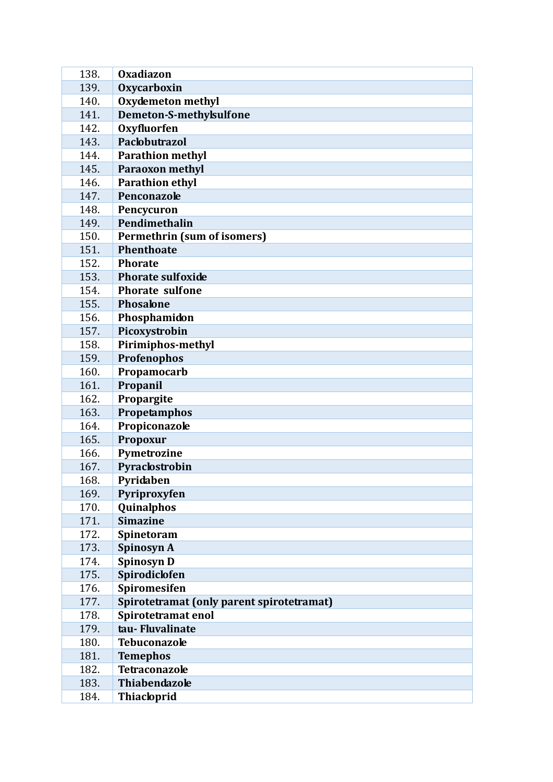| 138. | Oxadiazon                                 |
|------|-------------------------------------------|
| 139. | <b>Oxycarboxin</b>                        |
| 140. | <b>Oxydemeton methyl</b>                  |
| 141. | Demeton-S-methylsulfone                   |
| 142. | <b>Oxyfluorfen</b>                        |
| 143. | Paclobutrazol                             |
| 144. | <b>Parathion methyl</b>                   |
| 145. | <b>Paraoxon methyl</b>                    |
| 146. | <b>Parathion ethyl</b>                    |
| 147. | Penconazole                               |
| 148. | Pencycuron                                |
| 149. | Pendimethalin                             |
| 150. | Permethrin (sum of isomers)               |
| 151. | <b>Phenthoate</b>                         |
| 152. | <b>Phorate</b>                            |
| 153. | <b>Phorate sulfoxide</b>                  |
| 154. | <b>Phorate sulfone</b>                    |
| 155. | <b>Phosalone</b>                          |
| 156. | Phosphamidon                              |
| 157. | Picoxystrobin                             |
| 158. | Pirimiphos-methyl                         |
| 159. | Profenophos                               |
| 160. | Propamocarb                               |
| 161. | Propanil                                  |
| 162. | Propargite                                |
| 163. | Propetamphos                              |
| 164. | Propiconazole                             |
| 165. | Propoxur                                  |
| 166. | Pymetrozine                               |
| 167. | Pyraclostrobin                            |
| 168. | Pyridaben                                 |
| 169. | Pyriproxyfen                              |
| 170. | Quinalphos                                |
| 171. | <b>Simazine</b>                           |
| 172. | Spinetoram                                |
| 173. | Spinosyn A                                |
| 174. | Spinosyn D                                |
| 175. | Spirodiclofen                             |
| 176. | Spiromesifen                              |
| 177. | Spirotetramat (only parent spirotetramat) |
| 178. | Spirotetramat enol                        |
| 179. | tau-Fluvalinate                           |
| 180. | <b>Tebuconazole</b>                       |
| 181. | <b>Temephos</b>                           |
| 182. | <b>Tetraconazole</b>                      |
| 183. | <b>Thiabendazole</b>                      |
| 184. | <b>Thiacloprid</b>                        |